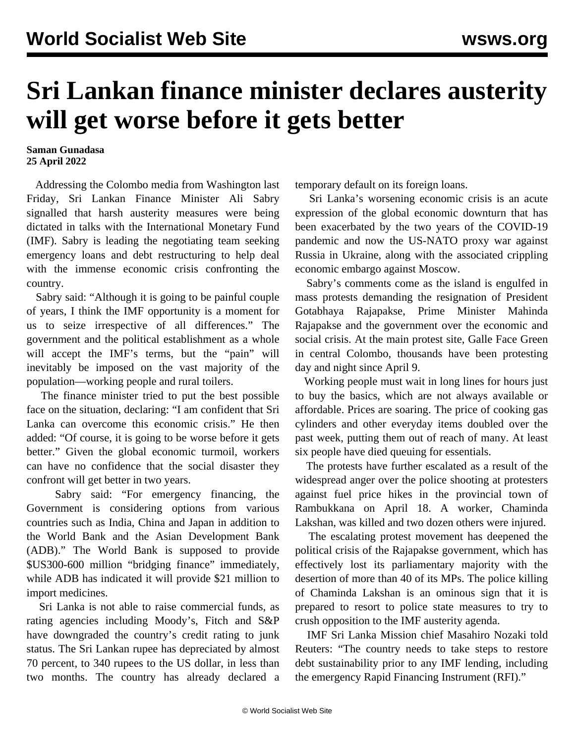## **Sri Lankan finance minister declares austerity will get worse before it gets better**

## **Saman Gunadasa 25 April 2022**

 Addressing the Colombo media from Washington last Friday, Sri Lankan Finance Minister Ali Sabry signalled that harsh austerity measures were being dictated in talks with the International Monetary Fund (IMF). Sabry is leading the negotiating team seeking emergency loans and debt restructuring to help deal with the immense economic crisis confronting the country.

 Sabry said: "Although it is going to be painful couple of years, I think the IMF opportunity is a moment for us to seize irrespective of all differences." The government and the political establishment as a whole will accept the IMF's terms, but the "pain" will inevitably be imposed on the vast majority of the population—working people and rural toilers.

 The finance minister tried to put the best possible face on the situation, declaring: "I am confident that Sri Lanka can overcome this economic crisis." He then added: "Of course, it is going to be worse before it gets better." Given the global economic turmoil, workers can have no confidence that the social disaster they confront will get better in two years.

 Sabry said: "For emergency financing, the Government is considering options from various countries such as India, China and Japan in addition to the World Bank and the Asian Development Bank (ADB)." The World Bank is supposed to provide \$US300-600 million "bridging finance" immediately, while ADB has indicated it will provide \$21 million to import medicines.

 Sri Lanka is not able to raise commercial funds, as rating agencies including Moody's, Fitch and S&P have downgraded the country's credit rating to junk status. The Sri Lankan rupee has depreciated by almost 70 percent, to 340 rupees to the US dollar, in less than two months. The country has already declared a temporary default on its foreign loans.

 Sri Lanka's worsening economic crisis is an acute expression of the global economic downturn that has been exacerbated by the two years of the COVID-19 pandemic and now the US-NATO proxy war against Russia in Ukraine, along with the associated crippling economic embargo against Moscow.

 Sabry's comments come as the island is engulfed in mass protests demanding the resignation of President Gotabhaya Rajapakse, Prime Minister Mahinda Rajapakse and the government over the economic and social crisis. At the main protest site, Galle Face Green in central Colombo, thousands have been protesting day and night since April 9.

 Working people must wait in long lines for hours just to buy the basics, which are not always available or affordable. Prices are soaring. The price of cooking gas cylinders and other everyday items doubled over the past week, putting them out of reach of many. At least six people have died queuing for essentials.

 The protests have further escalated as a result of the widespread anger over the police shooting at protesters against fuel price hikes in the provincial town of Rambukkana on April 18. A worker, Chaminda Lakshan, was killed and two dozen others were injured.

 The escalating protest movement has deepened the political crisis of the Rajapakse government, which has effectively lost its parliamentary majority with the desertion of more than 40 of its MPs. The police killing of Chaminda Lakshan is an ominous sign that it is prepared to resort to police state measures to try to crush opposition to the IMF austerity agenda.

 IMF Sri Lanka Mission chief Masahiro Nozaki told Reuters: "The country needs to take steps to restore debt sustainability prior to any IMF lending, including the emergency Rapid Financing Instrument (RFI)."